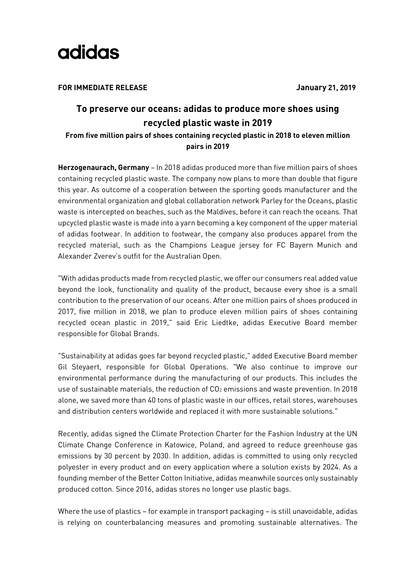

**FOR IMMEDIATE RELEASE January 21, 2019**

## **To preserve our oceans: adidas to produce more shoes using recycled plastic waste in 2019**

## **From five million pairs of shoes containing recycled plastic in 2018 to eleven million pairs in 2019**

**Herzogenaurach, Germany** – In 2018 adidas produced more than five million pairs of shoes containing recycled plastic waste. The company now plans to more than double that figure this year. As outcome of a cooperation between the sporting goods manufacturer and the environmental organization and global collaboration network Parley for the Oceans, plastic waste is intercepted on beaches, such as the Maldives, before it can reach the oceans. That upcycled plastic waste is made into a yarn becoming a key component of the upper material of adidas footwear. In addition to footwear, the company also produces apparel from the recycled material, such as the Champions League jersey for FC Bayern Munich and Alexander Zverev's outfit for the Australian Open.

"With adidas products made from recycled plastic, we offer our consumers real added value beyond the look, functionality and quality of the product, because every shoe is a small contribution to the preservation of our oceans. After one million pairs of shoes produced in 2017, five million in 2018, we plan to produce eleven million pairs of shoes containing recycled ocean plastic in 2019," said Eric Liedtke, adidas Executive Board member responsible for Global Brands.

"Sustainability at adidas goes far beyond recycled plastic," added Executive Board member Gil Steyaert, responsible for Global Operations. "We also continue to improve our environmental performance during the manufacturing of our products. This includes the use of sustainable materials, the reduction of CO<sub>2</sub> emissions and waste prevention. In 2018 alone, we saved more than 40 tons of plastic waste in our offices, retail stores, warehouses and distribution centers worldwide and replaced it with more sustainable solutions."

Recently, adidas signed the Climate Protection Charter for the Fashion Industry at the UN Climate Change Conference in Katowice, Poland, and agreed to reduce greenhouse gas emissions by 30 percent by 2030. In addition, adidas is committed to using only recycled polyester in every product and on every application where a solution exists by 2024. As a founding member of the Better Cotton Initiative, adidas meanwhile sources only sustainably produced cotton. Since 2016, adidas stores no longer use plastic bags.

Where the use of plastics – for example in transport packaging – is still unavoidable, adidas is relying on counterbalancing measures and promoting sustainable alternatives. The